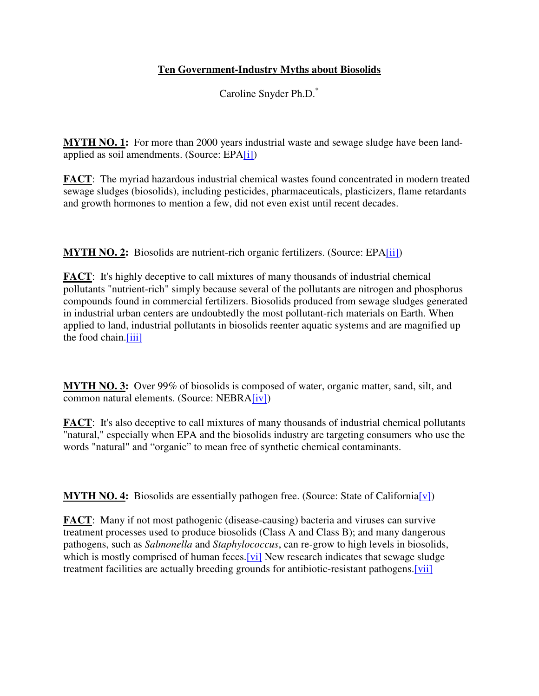## **Ten Government-Industry Myths about Biosolids**

Caroline Snyder Ph.D.\*

**MYTH NO. 1:** For more than 2000 years industrial waste and sewage sludge have been landapplied as soil amendments. (Source: EPA[i])

**FACT**: The myriad hazardous industrial chemical wastes found concentrated in modern treated sewage sludges (biosolids), including pesticides, pharmaceuticals, plasticizers, flame retardants and growth hormones to mention a few, did not even exist until recent decades.

**MYTH NO. 2:** Biosolids are nutrient-rich organic fertilizers. (Source: EPA[ii])

**FACT**: It's highly deceptive to call mixtures of many thousands of industrial chemical pollutants "nutrient-rich" simply because several of the pollutants are nitrogen and phosphorus compounds found in commercial fertilizers. Biosolids produced from sewage sludges generated in industrial urban centers are undoubtedly the most pollutant-rich materials on Earth. When applied to land, industrial pollutants in biosolids reenter aquatic systems and are magnified up the food chain.[iii]

**MYTH NO. 3:** Over 99% of biosolids is composed of water, organic matter, sand, silt, and common natural elements. (Source: NEBRA[iv])

**FACT**: It's also deceptive to call mixtures of many thousands of industrial chemical pollutants "natural," especially when EPA and the biosolids industry are targeting consumers who use the words "natural" and "organic" to mean free of synthetic chemical contaminants.

**MYTH NO. 4:** Biosolids are essentially pathogen free. (Source: State of California[v])

**FACT**: Many if not most pathogenic (disease-causing) bacteria and viruses can survive treatment processes used to produce biosolids (Class A and Class B); and many dangerous pathogens, such as *Salmonella* and *Staphylococcus*, can re-grow to high levels in biosolids, which is mostly comprised of human feces. [vi] New research indicates that sewage sludge treatment facilities are actually breeding grounds for antibiotic-resistant pathogens.[vii]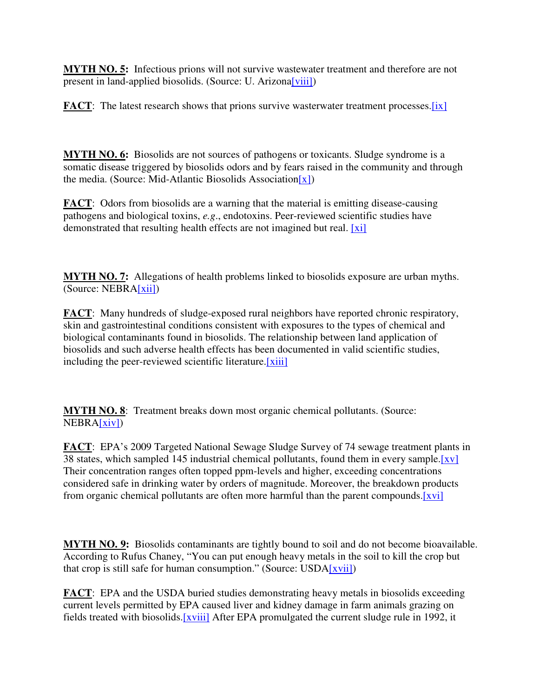**MYTH NO. 5:** Infectious prions will not survive wastewater treatment and therefore are not present in land-applied biosolids. (Source: U. Arizona<sup>[viii]</sup>)

**FACT**: The latest research shows that prions survive wasterwater treatment processes.[ix]

**MYTH NO. 6:** Biosolids are not sources of pathogens or toxicants. Sludge syndrome is a somatic disease triggered by biosolids odors and by fears raised in the community and through the media. (Source: Mid-Atlantic Biosolids Association[x])

**FACT**: Odors from biosolids are a warning that the material is emitting disease-causing pathogens and biological toxins, *e.g*., endotoxins. Peer-reviewed scientific studies have demonstrated that resulting health effects are not imagined but real. [xi]

**MYTH NO. 7:** Allegations of health problems linked to biosolids exposure are urban myths. (Source: NEBRA[xii])

**FACT**: Many hundreds of sludge-exposed rural neighbors have reported chronic respiratory, skin and gastrointestinal conditions consistent with exposures to the types of chemical and biological contaminants found in biosolids. The relationship between land application of biosolids and such adverse health effects has been documented in valid scientific studies, including the peer-reviewed scientific literature.[xiii]

**MYTH NO. 8**: Treatment breaks down most organic chemical pollutants. (Source: NEBRA[xiv])

**FACT**: EPA's 2009 Targeted National Sewage Sludge Survey of 74 sewage treatment plants in 38 states, which sampled 145 industrial chemical pollutants, found them in every sample.[xv] Their concentration ranges often topped ppm-levels and higher, exceeding concentrations considered safe in drinking water by orders of magnitude. Moreover, the breakdown products from organic chemical pollutants are often more harmful than the parent compounds.[xvi]

**MYTH NO. 9:** Biosolids contaminants are tightly bound to soil and do not become bioavailable. According to Rufus Chaney, "You can put enough heavy metals in the soil to kill the crop but that crop is still safe for human consumption." (Source:  $\text{USDA}[\overline{\text{xvii}}]$ )

**FACT**: EPA and the USDA buried studies demonstrating heavy metals in biosolids exceeding current levels permitted by EPA caused liver and kidney damage in farm animals grazing on fields treated with biosolids.[xviii] After EPA promulgated the current sludge rule in 1992, it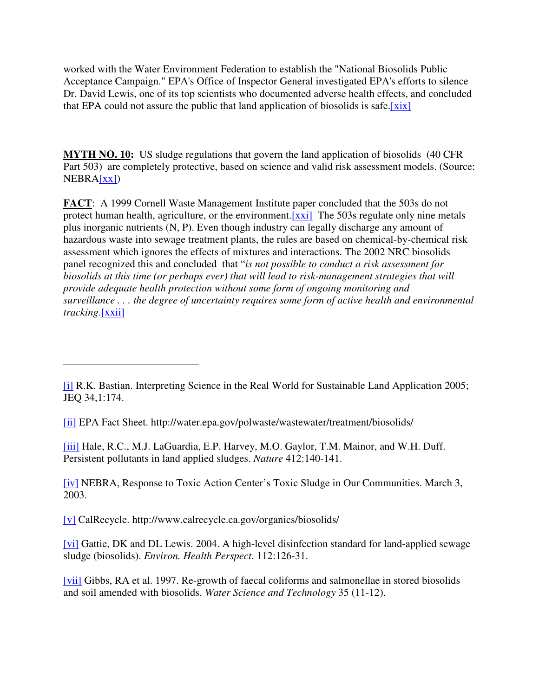worked with the Water Environment Federation to establish the "National Biosolids Public Acceptance Campaign." EPA's Office of Inspector General investigated EPA's efforts to silence Dr. David Lewis, one of its top scientists who documented adverse health effects, and concluded that EPA could not assure the public that land application of biosolids is safe.[xix]

**MYTH NO. 10:** US sludge regulations that govern the land application of biosolids (40 CFR Part 503) are completely protective, based on science and valid risk assessment models. (Source:  $NEBRA[xx]$ 

**FACT**: A 1999 Cornell Waste Management Institute paper concluded that the 503s do not protect human health, agriculture, or the environment. [xxi] The 503s regulate only nine metals plus inorganic nutrients (N, P). Even though industry can legally discharge any amount of hazardous waste into sewage treatment plants, the rules are based on chemical-by-chemical risk assessment which ignores the effects of mixtures and interactions. The 2002 NRC biosolids panel recognized this and concluded that "*is not possible to conduct a risk assessment for biosolids at this time (or perhaps ever) that will lead to risk-management strategies that will provide adequate health protection without some form of ongoing monitoring and surveillance . . . the degree of uncertainty requires some form of active health and environmental tracking*.[xxii]

[ii] EPA Fact Sheet. http://water.epa.gov/polwaste/wastewater/treatment/biosolids/

[iii] Hale, R.C., M.J. LaGuardia, E.P. Harvey, M.O. Gaylor, T.M. Mainor, and W.H. Duff. Persistent pollutants in land applied sludges. *Nature* 412:140-141.

[iv] NEBRA, Response to Toxic Action Center's Toxic Sludge in Our Communities. March 3, 2003.

[v] CalRecycle. http://www.calrecycle.ca.gov/organics/biosolids/

[vi] Gattie, DK and DL Lewis. 2004. A high-level disinfection standard for land-applied sewage sludge (biosolids). *Environ. Health Perspect*. 112:126-31.

[vii] Gibbs, RA et al. 1997. Re-growth of faecal coliforms and salmonellae in stored biosolids and soil amended with biosolids. *Water Science and Technology* 35 (11-12).

<sup>[</sup>i] R.K. Bastian. Interpreting Science in the Real World for Sustainable Land Application 2005; JEQ 34,1:174.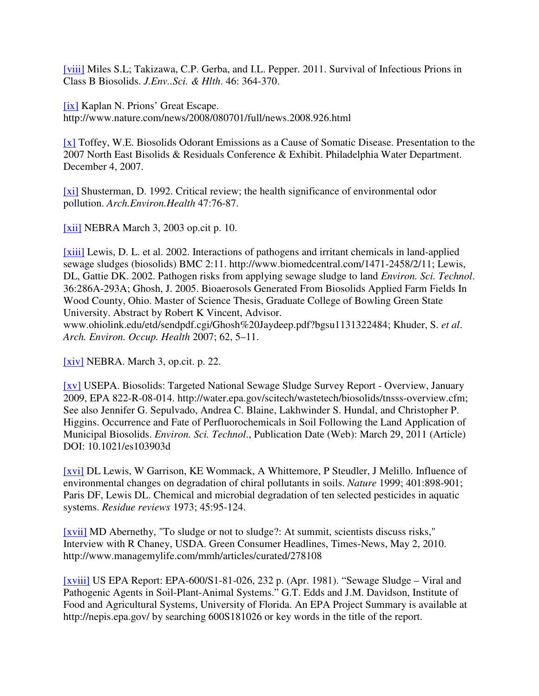[viii] Miles S.L; Takizawa, C.P. Gerba, and I.L. Pepper. 2011. Survival of Infectious Prions in Class B Biosolids. *J.Env..Sci. & Hlth*. 46: 364-370.

[ix] Kaplan N. Prions' Great Escape. http://www.nature.com/news/2008/080701/full/news.2008.926.html

[x] Toffey, W.E. Biosolids Odorant Emissions as a Cause of Somatic Disease. Presentation to the 2007 North East Bisolids & Residuals Conference & Exhibit. Philadelphia Water Department. December 4, 2007.

[xi] Shusterman, D. 1992. Critical review; the health significance of environmental odor pollution. *Arch.Environ.Health* 47:76-87.

[xii] NEBRA March 3, 2003 op.cit p. 10.

[xiii] Lewis, D. L. et al. 2002. Interactions of pathogens and irritant chemicals in land-applied sewage sludges (biosolids) BMC 2:11. http://www.biomedcentral.com/1471-2458/2/11; Lewis, DL, Gattie DK. 2002. Pathogen risks from applying sewage sludge to land *Environ. Sci. Technol*. 36:286A-293A; Ghosh, J. 2005. Bioaerosols Generated From Biosolids Applied Farm Fields In Wood County, Ohio. Master of Science Thesis, Graduate College of Bowling Green State University. Abstract by Robert K Vincent, Advisor.

www.ohiolink.edu/etd/sendpdf.cgi/Ghosh%20Jaydeep.pdf?bgsu1131322484; Khuder, S. *et al*. *Arch. Environ. Occup. Health* 2007; 62, 5–11.

[xiv] NEBRA. March 3, op.cit. p. 22.

[XV] USEPA. Biosolids: Targeted National Sewage Sludge Survey Report - Overview, January 2009, EPA 822-R-08-014. http://water.epa.gov/scitech/wastetech/biosolids/tnsss-overview.cfm; See also Jennifer G. Sepulvado, Andrea C. Blaine, Lakhwinder S. Hundal, and Christopher P. Higgins. Occurrence and Fate of Perfluorochemicals in Soil Following the Land Application of Municipal Biosolids. *Environ. Sci. Technol*., Publication Date (Web): March 29, 2011 (Article) DOI: 10.1021/es103903d

[xvi] DL Lewis, W Garrison, KE Wommack, A Whittemore, P Steudler, J Melillo. Influence of environmental changes on degradation of chiral pollutants in soils. *Nature* 1999; 401:898-901; Paris DF, Lewis DL. Chemical and microbial degradation of ten selected pesticides in aquatic systems. *Residue reviews* 1973; 45:95-124.

[xvii] MD Abernethy, "To sludge or not to sludge?: At summit, scientists discuss risks," Interview with R Chaney, USDA. Green Consumer Headlines, Times-News, May 2, 2010. http://www.managemylife.com/mmh/articles/curated/278108

[xviii] US EPA Report: EPA-600/S1-81-026, 232 p. (Apr. 1981). "Sewage Sludge – Viral and Pathogenic Agents in Soil-Plant-Animal Systems." G.T. Edds and J.M. Davidson, Institute of Food and Agricultural Systems, University of Florida. An EPA Project Summary is available at http://nepis.epa.gov/ by searching 600S181026 or key words in the title of the report.